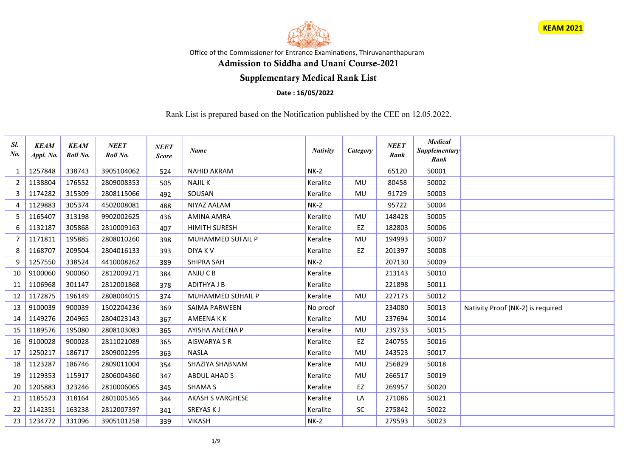



Office of the Commissioner for Entrance Examinations, Thiruvananthapuram

## Admission to Siddha and Unani Course-2021

## Supplementary Medical Rank List

## Date : 16/05/2022

Rank List is prepared based on the Notification published by the CEE on 12.05.2022.

| Sl.<br>$N_{0}$ | <b>KEAM</b><br>Appl. No. | <b>KEAM</b><br>Roll No. | <b>NEET</b><br>Roll No. | <b>NEET</b><br><b>Score</b> | <b>Name</b>              | <b>Nativity</b> | Category  | <b>NEET</b><br>Rank | <b>Medical</b><br>Supplementary<br>Rank |                                   |
|----------------|--------------------------|-------------------------|-------------------------|-----------------------------|--------------------------|-----------------|-----------|---------------------|-----------------------------------------|-----------------------------------|
| 1              | 1257848                  | 338743                  | 3905104062              | 524                         | <b>NAHID AKRAM</b>       | $NK-2$          |           | 65120               | 50001                                   |                                   |
| 2              | 1138804                  | 176552                  | 2809008353              | 505                         | <b>NAJIL K</b>           | Keralite        | <b>MU</b> | 80458               | 50002                                   |                                   |
| 3              | 1174282                  | 315309                  | 2808115066              | 492                         | SOUSAN                   | Keralite        | <b>MU</b> | 91729               | 50003                                   |                                   |
| 4              | 1129883                  | 305374                  | 4502008081              | 488                         | <b>NIYAZ AALAM</b>       | $NK-2$          |           | 95722               | 50004                                   |                                   |
| 5              | 1165407                  | 313198                  | 9902002625              | 436                         | AMINA AMRA               | Keralite        | MU        | 148428              | 50005                                   |                                   |
| 6              | 1132187                  | 305868                  | 2810009163              | 407                         | <b>HIMITH SURESH</b>     | Keralite        | EZ        | 182803              | 50006                                   |                                   |
| $\overline{7}$ | 1171811                  | 195885                  | 2808010260              | 398                         | MUHAMMED SUFAIL P        | Keralite        | MU        | 194993              | 50007                                   |                                   |
| 8              | 1168707                  | 209504                  | 2804016133              | 393                         | <b>DIYAKV</b>            | Keralite        | EZ        | 201397              | 50008                                   |                                   |
| 9              | 1257550                  | 338524                  | 4410008262              | 389                         | <b>SHIPRA SAH</b>        | $NK-2$          |           | 207130              | 50009                                   |                                   |
| 10             | 9100060                  | 900060                  | 2812009271              | 384                         | ANJU C B                 | Keralite        |           | 213143              | 50010                                   |                                   |
| 11             | 1106968                  | 301147                  | 2812001868              | 378                         | <b>ADITHYA J B</b>       | Keralite        |           | 221898              | 50011                                   |                                   |
| 12             | 1172875                  | 196149                  | 2808004015              | 374                         | <b>MUHAMMED SUHAIL P</b> | Keralite        | <b>MU</b> | 227173              | 50012                                   |                                   |
| 13             | 9100039                  | 900039                  | 1502204236              | 369                         | <b>SAIMA PARWEEN</b>     | No proof        |           | 234080              | 50013                                   | Nativity Proof (NK-2) is required |
| 14             | 1149276                  | 204965                  | 2804023143              | 367                         | AMEENA K K               | Keralite        | MU        | 237694              | 50014                                   |                                   |
| 15             | 1189576                  | 195080                  | 2808103083              | 365                         | <b>AYISHA ANEENA P</b>   | Keralite        | MU        | 239733              | 50015                                   |                                   |
| 16             | 9100028                  | 900028                  | 2811021089              | 365                         | <b>AISWARYA S R</b>      | Keralite        | EZ        | 240755              | 50016                                   |                                   |
| 17             | 1250217                  | 186717                  | 2809002295              | 363                         | <b>NASLA</b>             | Keralite        | <b>MU</b> | 243523              | 50017                                   |                                   |
| 18             | 1123287                  | 186746                  | 2809011004              | 354                         | SHAZIYA SHABNAM          | Keralite        | <b>MU</b> | 256829              | 50018                                   |                                   |
| 19             | 1129353                  | 115917                  | 2806004360              | 347                         | ABDUL AHAD S             | Keralite        | <b>MU</b> | 266517              | 50019                                   |                                   |
| 20             | 1205883                  | 323246                  | 2810006065              | 345                         | <b>SHAMA S</b>           | Keralite        | EZ        | 269957              | 50020                                   |                                   |
| 21             | 1185523                  | 318164                  | 2801005365              | 344                         | <b>AKASH S VARGHESE</b>  | Keralite        | LA        | 271086              | 50021                                   |                                   |
| 22             | 1142351                  | 163238                  | 2812007397              | 341                         | SREYAS KJ                | Keralite        | SC        | 275842              | 50022                                   |                                   |
| 23             | 1234772                  | 331096                  | 3905101258              | 339                         | <b>VIKASH</b>            | $NK-2$          |           | 279593              | 50023                                   |                                   |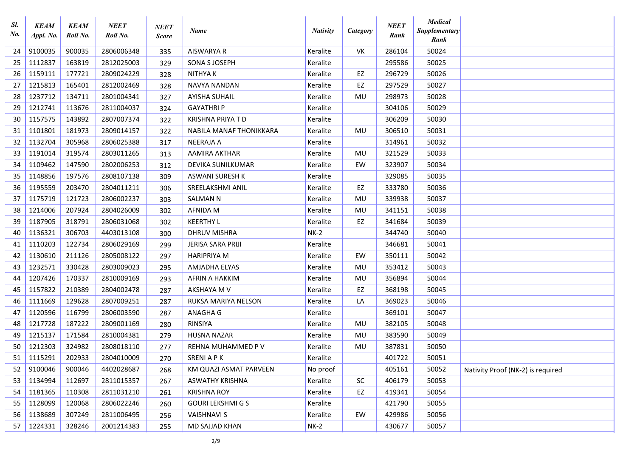| Sl.<br>$N_{0}$ . | <b>KEAM</b><br>Appl. No. | <b>KEAM</b><br>Roll No. | <b>NEET</b><br>Roll No. | <b>NEET</b><br><b>Score</b> | <b>Name</b>              | <b>Nativity</b> | Category | <b>NEET</b><br>Rank | <b>Medical</b><br>Supplementary<br>Rank |                                   |
|------------------|--------------------------|-------------------------|-------------------------|-----------------------------|--------------------------|-----------------|----------|---------------------|-----------------------------------------|-----------------------------------|
| 24               | 9100035                  | 900035                  | 2806006348              | 335                         | AISWARYA R               | Keralite        | VK       | 286104              | 50024                                   |                                   |
| 25               | 1112837                  | 163819                  | 2812025003              | 329                         | SONA S JOSEPH            | Keralite        |          | 295586              | 50025                                   |                                   |
| 26               | 1159111                  | 177721                  | 2809024229              | 328                         | <b>NITHYAK</b>           | Keralite        | EZ       | 296729              | 50026                                   |                                   |
| 27               | 1215813                  | 165401                  | 2812002469              | 328                         | <b>NAVYA NANDAN</b>      | Keralite        | EZ       | 297529              | 50027                                   |                                   |
| 28               | 1237712                  | 134711                  | 2801004341              | 327                         | <b>AYISHA SUHAIL</b>     | Keralite        | MU       | 298973              | 50028                                   |                                   |
| 29               | 1212741                  | 113676                  | 2811004037              | 324                         | <b>GAYATHRIP</b>         | Keralite        |          | 304106              | 50029                                   |                                   |
| 30               | 1157575                  | 143892                  | 2807007374              | 322                         | <b>KRISHNA PRIYA T D</b> | Keralite        |          | 306209              | 50030                                   |                                   |
| 31               | 1101801                  | 181973                  | 2809014157              | 322                         | NABILA MANAF THONIKKARA  | Keralite        | MU       | 306510              | 50031                                   |                                   |
| 32               | 1132704                  | 305968                  | 2806025388              | 317                         | NEERAJA A                | Keralite        |          | 314961              | 50032                                   |                                   |
| 33               | 1191014                  | 319574                  | 2803011265              | 313                         | AAMIRA AKTHAR            | Keralite        | MU       | 321529              | 50033                                   |                                   |
| 34               | 1109462                  | 147590                  | 2802006253              | 312                         | DEVIKA SUNILKUMAR        | Keralite        | EW       | 323907              | 50034                                   |                                   |
| 35               | 1148856                  | 197576                  | 2808107138              | 309                         | ASWANI SURESH K          | Keralite        |          | 329085              | 50035                                   |                                   |
| 36               | 1195559                  | 203470                  | 2804011211              | 306                         | SREELAKSHMI ANIL         | Keralite        | EZ       | 333780              | 50036                                   |                                   |
| 37               | 1175719                  | 121723                  | 2806002237              | 303                         | <b>SALMAN N</b>          | Keralite        | MU       | 339938              | 50037                                   |                                   |
| 38               | 1214006                  | 207924                  | 2804026009              | 302                         | <b>AFNIDA M</b>          | Keralite        | MU       | 341151              | 50038                                   |                                   |
| 39               | 1187905                  | 318791                  | 2806031068              | 302                         | <b>KEERTHY L</b>         | Keralite        | EZ       | 341684              | 50039                                   |                                   |
| 40               | 1136321                  | 306703                  | 4403013108              | 300                         | <b>DHRUV MISHRA</b>      | $NK-2$          |          | 344740              | 50040                                   |                                   |
| 41               | 1110203                  | 122734                  | 2806029169              | 299                         | JERISA SARA PRIJI        | Keralite        |          | 346681              | 50041                                   |                                   |
| 42               | 1130610                  | 211126                  | 2805008122              | 297                         | <b>HARIPRIYA M</b>       | Keralite        | EW       | 350111              | 50042                                   |                                   |
| 43               | 1232571                  | 330428                  | 2803009023              | 295                         | AMJADHA ELYAS            | Keralite        | MU       | 353412              | 50043                                   |                                   |
| 44               | 1207426                  | 170337                  | 2810009169              | 293                         | AFRIN A HAKKIM           | Keralite        | MU       | 356894              | 50044                                   |                                   |
| 45               | 1157822                  | 210389                  | 2804002478              | 287                         | AKSHAYA M V              | Keralite        | EZ       | 368198              | 50045                                   |                                   |
| 46               | 1111669                  | 129628                  | 2807009251              | 287                         | RUKSA MARIYA NELSON      | Keralite        | LA       | 369023              | 50046                                   |                                   |
| 47               | 1120596                  | 116799                  | 2806003590              | 287                         | ANAGHA G                 | Keralite        |          | 369101              | 50047                                   |                                   |
| 48               | 1217728                  | 187222                  | 2809001169              | 280                         | <b>RINSIYA</b>           | Keralite        | MU       | 382105              | 50048                                   |                                   |
| 49               | 1215137                  | 171584                  | 2810004381              | 279                         | <b>HUSNA NAZAR</b>       | Keralite        | MU       | 383590              | 50049                                   |                                   |
| 50               | 1212303                  | 324982                  | 2808018110              | 277                         | REHNA MUHAMMED P V       | Keralite        | MU       | 387831              | 50050                                   |                                   |
|                  | $51 \mid 1115291$        | 202933                  | 2804010009              | 270                         | <b>SRENI A P K</b>       | Keralite        |          | 401722              | 50051                                   |                                   |
| 52               | 9100046                  | 900046                  | 4402028687              | 268                         | KM QUAZI ASMAT PARVEEN   | No proof        |          | 405161              | 50052                                   | Nativity Proof (NK-2) is required |
| 53               | 1134994                  | 112697                  | 2811015357              | 267                         | <b>ASWATHY KRISHNA</b>   | Keralite        | SC.      | 406179              | 50053                                   |                                   |
| 54               | 1181365                  | 110308                  | 2811031210              | 261                         | <b>KRISHNA ROY</b>       | Keralite        | EZ       | 419341              | 50054                                   |                                   |
| 55               | 1128099                  | 120068                  | 2806022246              | 260                         | <b>GOURI LEKSHMI G S</b> | Keralite        |          | 421790              | 50055                                   |                                   |
| 56               | 1138689                  | 307249                  | 2811006495              | 256                         | <b>VAISHNAVI S</b>       | Keralite        | EW       | 429986              | 50056                                   |                                   |
| 57               | 1224331                  | 328246                  | 2001214383              | 255                         | MD SAJJAD KHAN           | $NK-2$          |          | 430677              | 50057                                   |                                   |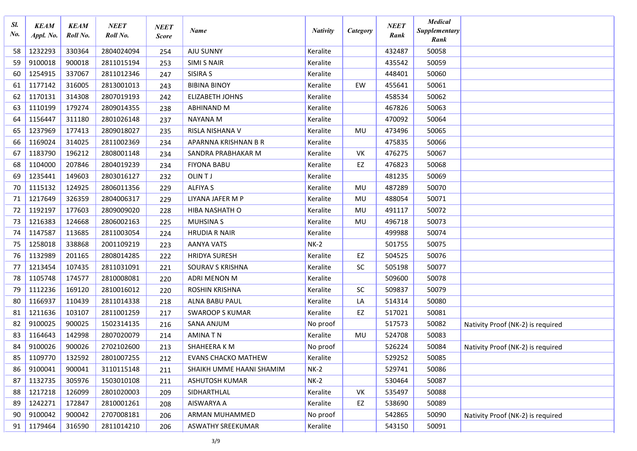| Sl.<br>No. | <b>KEAM</b><br>Appl. No. | <b>KEAM</b><br>Roll No. | <b>NEET</b><br>Roll No. | <b>NEET</b><br><b>Score</b> | Name                       | <b>Nativity</b> | Category  | <b>NEET</b><br>Rank | <b>Medical</b><br><b>Supplementary</b><br>Rank |                                   |
|------------|--------------------------|-------------------------|-------------------------|-----------------------------|----------------------------|-----------------|-----------|---------------------|------------------------------------------------|-----------------------------------|
| 58         | 1232293                  | 330364                  | 2804024094              | 254                         | AJU SUNNY                  | Keralite        |           | 432487              | 50058                                          |                                   |
| 59         | 9100018                  | 900018                  | 2811015194              | 253                         | <b>SIMI S NAIR</b>         | Keralite        |           | 435542              | 50059                                          |                                   |
| 60         | 1254915                  | 337067                  | 2811012346              | 247                         | SISIRA S                   | Keralite        |           | 448401              | 50060                                          |                                   |
| 61         | 1177142                  | 316005                  | 2813001013              | 243                         | <b>BIBINA BINOY</b>        | Keralite        | EW        | 455641              | 50061                                          |                                   |
| 62         | 1170131                  | 314308                  | 2807019193              | 242                         | <b>ELIZABETH JOHNS</b>     | Keralite        |           | 458534              | 50062                                          |                                   |
| 63         | 1110199                  | 179274                  | 2809014355              | 238                         | ABHINAND M                 | Keralite        |           | 467826              | 50063                                          |                                   |
| 64         | 1156447                  | 311180                  | 2801026148              | 237                         | <b>NAYANA M</b>            | Keralite        |           | 470092              | 50064                                          |                                   |
| 65         | 1237969                  | 177413                  | 2809018027              | 235                         | RISLA NISHANA V            | Keralite        | MU        | 473496              | 50065                                          |                                   |
| 66         | 1169024                  | 314025                  | 2811002369              | 234                         | APARNNA KRISHNAN B R       | Keralite        |           | 475835              | 50066                                          |                                   |
| 67         | 1183790                  | 196212                  | 2808001148              | 234                         | SANDRA PRABHAKAR M         | Keralite        | VK        | 476275              | 50067                                          |                                   |
| 68         | 1104000                  | 207846                  | 2804019239              | 234                         | <b>FIYONA BABU</b>         | Keralite        | EZ        | 476823              | 50068                                          |                                   |
| 69         | 1235441                  | 149603                  | 2803016127              | 232                         | OLIN TJ                    | Keralite        |           | 481235              | 50069                                          |                                   |
| 70         | 1115132                  | 124925                  | 2806011356              | 229                         | <b>ALFIYA S</b>            | Keralite        | MU        | 487289              | 50070                                          |                                   |
| 71         | 1217649                  | 326359                  | 2804006317              | 229                         | LIYANA JAFER M P           | Keralite        | MU        | 488054              | 50071                                          |                                   |
| 72         | 1192197                  | 177603                  | 2809009020              | 228                         | HIBA NASHATH O             | Keralite        | MU        | 491117              | 50072                                          |                                   |
| 73         | 1216383                  | 124668                  | 2806002163              | 225                         | <b>MUHSINAS</b>            | Keralite        | MU        | 496718              | 50073                                          |                                   |
| 74         | 1147587                  | 113685                  | 2811003054              | 224                         | <b>HRUDIA R NAIR</b>       | Keralite        |           | 499988              | 50074                                          |                                   |
| 75         | 1258018                  | 338868                  | 2001109219              | 223                         | <b>AANYA VATS</b>          | $NK-2$          |           | 501755              | 50075                                          |                                   |
| 76         | 1132989                  | 201165                  | 2808014285              | 222                         | <b>HRIDYA SURESH</b>       | Keralite        | EZ        | 504525              | 50076                                          |                                   |
| 77         | 1213454                  | 107435                  | 2811031091              | 221                         | SOURAV S KRISHNA           | Keralite        | <b>SC</b> | 505198              | 50077                                          |                                   |
| 78         | 1105748                  | 174577                  | 2810008081              | 220                         | ADRI MENON M               | Keralite        |           | 509600              | 50078                                          |                                   |
| 79         | 1112236                  | 169120                  | 2810016012              | 220                         | <b>ROSHIN KRISHNA</b>      | Keralite        | <b>SC</b> | 509837              | 50079                                          |                                   |
| 80         | 1166937                  | 110439                  | 2811014338              | 218                         | ALNA BABU PAUL             | Keralite        | LA        | 514314              | 50080                                          |                                   |
| 81         | 1211636                  | 103107                  | 2811001259              | 217                         | <b>SWAROOP S KUMAR</b>     | Keralite        | EZ        | 517021              | 50081                                          |                                   |
| 82         | 9100025                  | 900025                  | 1502314135              | 216                         | <b>SANA ANJUM</b>          | No proof        |           | 517573              | 50082                                          | Nativity Proof (NK-2) is required |
| 83         | 1164643                  | 142998                  | 2807020079              | 214                         | <b>AMINATN</b>             | Keralite        | MU        | 524708              | 50083                                          |                                   |
| 84         | 9100026                  | 900026                  | 2702102600              | 213                         | SHAHEERA K M               | No proof        |           | 526224              | 50084                                          | Nativity Proof (NK-2) is required |
| 85         | 1109770                  | 132592                  | 2801007255              | 212                         | <b>EVANS CHACKO MATHEW</b> | Keralite        |           | 529252              | 50085                                          |                                   |
| 86         | 9100041                  | 900041                  | 3110115148              | 211                         | SHAIKH UMME HAANI SHAMIM   | $NK-2$          |           | 529741              | 50086                                          |                                   |
| 87         | 1132735                  | 305976                  | 1503010108              | 211                         | ASHUTOSH KUMAR             | $NK-2$          |           | 530464              | 50087                                          |                                   |
| 88         | 1217218                  | 126099                  | 2801020003              | 209                         | SIDHARTHLAL                | Keralite        | VK        | 535497              | 50088                                          |                                   |
| 89         | 1242271                  | 172847                  | 2810001261              | 208                         | AISWARYA A                 | Keralite        | EZ        | 538690              | 50089                                          |                                   |
| 90         | 9100042                  | 900042                  | 2707008181              | 206                         | ARMAN MUHAMMED             | No proof        |           | 542865              | 50090                                          | Nativity Proof (NK-2) is required |
| 91         | 1179464                  | 316590                  | 2811014210              | 206                         | ASWATHY SREEKUMAR          | Keralite        |           | 543150              | 50091                                          |                                   |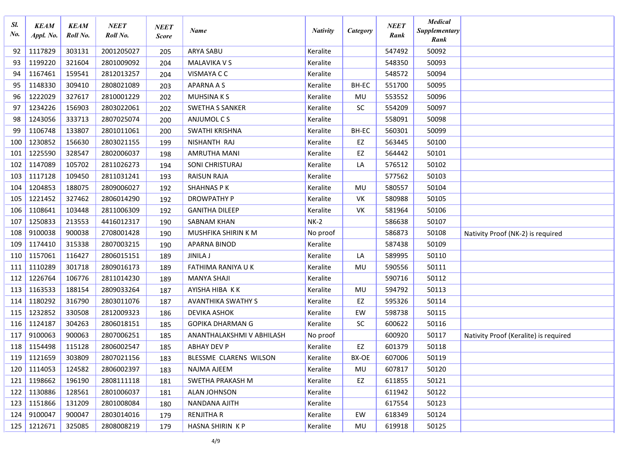| Sl.<br>$N_{0}$ | <b>KEAM</b><br>Appl. No. | <b>KEAM</b><br>Roll No. | <b>NEET</b><br>Roll No. | <b>NEET</b><br><b>Score</b> | Name                      | <b>Nativity</b> | Category  | <b>NEET</b><br>Rank | <b>Medical</b><br>Supplementary<br>Rank |                                       |
|----------------|--------------------------|-------------------------|-------------------------|-----------------------------|---------------------------|-----------------|-----------|---------------------|-----------------------------------------|---------------------------------------|
| 92             | 1117829                  | 303131                  | 2001205027              | 205                         | <b>ARYA SABU</b>          | Keralite        |           | 547492              | 50092                                   |                                       |
| 93             | 1199220                  | 321604                  | 2801009092              | 204                         | MALAVIKA V S              | Keralite        |           | 548350              | 50093                                   |                                       |
| 94             | 1167461                  | 159541                  | 2812013257              | 204                         | VISMAYA C C               | Keralite        |           | 548572              | 50094                                   |                                       |
| 95             | 1148330                  | 309410                  | 2808021089              | 203                         | <b>APARNA A S</b>         | Keralite        | BH-EC     | 551700              | 50095                                   |                                       |
| 96             | 1222029                  | 327617                  | 2810001229              | 202                         | <b>MUHSINAKS</b>          | Keralite        | MU        | 553552              | 50096                                   |                                       |
| 97             | 1234226                  | 156903                  | 2803022061              | 202                         | <b>SWETHA S SANKER</b>    | Keralite        | <b>SC</b> | 554209              | 50097                                   |                                       |
| 98             | 1243056                  | 333713                  | 2807025074              | 200                         | ANJUMOL C S               | Keralite        |           | 558091              | 50098                                   |                                       |
| 99             | 1106748                  | 133807                  | 2801011061              | 200                         | SWATHI KRISHNA            | Keralite        | BH-EC     | 560301              | 50099                                   |                                       |
| 100            | 1230852                  | 156630                  | 2803021155              | 199                         | NISHANTH RAJ              | Keralite        | EZ        | 563445              | 50100                                   |                                       |
| 101            | 1225590                  | 328547                  | 2802006037              | 198                         | AMRUTHA MANI              | Keralite        | EZ        | 564442              | 50101                                   |                                       |
| 102            | 1147089                  | 105702                  | 2811026273              | 194                         | SONI CHRISTURAJ           | Keralite        | LA        | 576512              | 50102                                   |                                       |
| 103            | 1117128                  | 109450                  | 2811031241              | 193                         | <b>RAISUN RAJA</b>        | Keralite        |           | 577562              | 50103                                   |                                       |
| 104            | 1204853                  | 188075                  | 2809006027              | 192                         | <b>SHAHNAS PK</b>         | Keralite        | MU        | 580557              | 50104                                   |                                       |
| 105            | 1221452                  | 327462                  | 2806014290              | 192                         | <b>DROWPATHY P</b>        | Keralite        | VK        | 580988              | 50105                                   |                                       |
| 106            | 1108641                  | 103448                  | 2811006309              | 192                         | <b>GANITHA DILEEP</b>     | Keralite        | VK        | 581964              | 50106                                   |                                       |
| 107            | 1250833                  | 213553                  | 4416012317              | 190                         | <b>SABNAM KHAN</b>        | $NK-2$          |           | 586638              | 50107                                   |                                       |
| 108            | 9100038                  | 900038                  | 2708001428              | 190                         | MUSHFIKA SHIRIN K M       | No proof        |           | 586873              | 50108                                   | Nativity Proof (NK-2) is required     |
| 109            | 1174410                  | 315338                  | 2807003215              | 190                         | APARNA BINOD              | Keralite        |           | 587438              | 50109                                   |                                       |
| 110            | 1157061                  | 116427                  | 2806015151              | 189                         | <b>JINILA J</b>           | Keralite        | LA        | 589995              | 50110                                   |                                       |
| 111            | 1110289                  | 301718                  | 2809016173              | 189                         | FATHIMA RANIYA U K        | Keralite        | MU        | 590556              | 50111                                   |                                       |
| 112            | 1226764                  | 106776                  | 2811014230              | 189                         | <b>MANYA SHAJI</b>        | Keralite        |           | 590716              | 50112                                   |                                       |
| 113            | 1163533                  | 188154                  | 2809033264              | 187                         | AYISHA HIBA KK            | Keralite        | MU        | 594792              | 50113                                   |                                       |
| 114            | 1180292                  | 316790                  | 2803011076              | 187                         | <b>AVANTHIKA SWATHY S</b> | Keralite        | EZ        | 595326              | 50114                                   |                                       |
| 115            | 1232852                  | 330508                  | 2812009323              | 186                         | <b>DEVIKA ASHOK</b>       | Keralite        | EW        | 598738              | 50115                                   |                                       |
| 116            | 1124187                  | 304263                  | 2806018151              | 185                         | <b>GOPIKA DHARMAN G</b>   | Keralite        | <b>SC</b> | 600622              | 50116                                   |                                       |
| 117            | 9100063                  | 900063                  | 2807006251              | 185                         | ANANTHALAKSHMI V ABHILASH | No proof        |           | 600920              | 50117                                   | Nativity Proof (Keralite) is required |
| 118            | 1154498                  | 115128                  | 2806002547              | 185                         | <b>ABHAY DEV P</b>        | Keralite        | EZ        | 601379              | 50118                                   |                                       |
|                | 119 1121659              | 303809                  | 2807021156              | 183                         | BLESSME CLARENS WILSON    | Keralite        | BX-OE     | 607006              | 50119                                   |                                       |
|                | 120 1114053              | 124582                  | 2806002397              | 183                         | NAJMA AJEEM               | Keralite        | MU        | 607817              | 50120                                   |                                       |
| $121$          | 1198662                  | 196190                  | 2808111118              | 181                         | SWETHA PRAKASH M          | Keralite        | EZ        | 611855              | 50121                                   |                                       |
| 122            | 1130886                  | 128561                  | 2801006037              | 181                         | ALAN JOHNSON              | Keralite        |           | 611942              | 50122                                   |                                       |
| 123            | 1151866                  | 131209                  | 2801008084              | 180                         | NANDANA AJITH             | Keralite        |           | 617554              | 50123                                   |                                       |
| 124            | 9100047                  | 900047                  | 2803014016              | 179                         | RENJITHA R                | Keralite        | EW        | 618349              | 50124                                   |                                       |
| 125            | 1212671                  | 325085                  | 2808008219              | 179                         | HASNA SHIRIN KP           | Keralite        | MU        | 619918              | 50125                                   |                                       |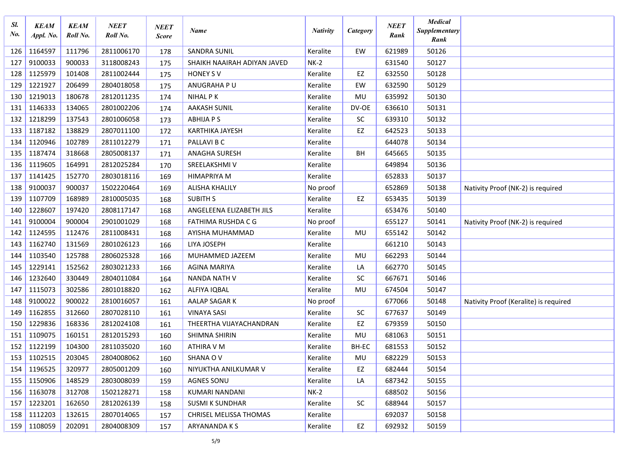| Sl.<br>No. | <b>KEAM</b><br>Appl. No. | <b>KEAM</b><br>Roll No. | <b>NEET</b><br>Roll No. | <b>NEET</b><br><b>Score</b> | Name                        | <b>Nativity</b> | Category  | <b>NEET</b><br>Rank | <b>Medical</b><br>Supplementary<br>Rank |                                       |
|------------|--------------------------|-------------------------|-------------------------|-----------------------------|-----------------------------|-----------------|-----------|---------------------|-----------------------------------------|---------------------------------------|
| 126        | 1164597                  | 111796                  | 2811006170              | 178                         | <b>SANDRA SUNIL</b>         | Keralite        | EW        | 621989              | 50126                                   |                                       |
| 127        | 9100033                  | 900033                  | 3118008243              | 175                         | SHAIKH NAAIRAH ADIYAN JAVED | $NK-2$          |           | 631540              | 50127                                   |                                       |
| 128        | 1125979                  | 101408                  | 2811002444              | 175                         | <b>HONEY SV</b>             | Keralite        | EZ        | 632550              | 50128                                   |                                       |
| 129        | 1221927                  | 206499                  | 2804018058              | 175                         | ANUGRAHA PU                 | Keralite        | EW        | 632590              | 50129                                   |                                       |
| 130        | 1219013                  | 180678                  | 2812011235              | 174                         | <b>NIHAL PK</b>             | Keralite        | MU        | 635992              | 50130                                   |                                       |
| 131        | 1146333                  | 134065                  | 2801002206              | 174                         | <b>AAKASH SUNIL</b>         | Keralite        | DV-OE     | 636610              | 50131                                   |                                       |
| 132        | 1218299                  | 137543                  | 2801006058              | 173                         | <b>ABHIJA P S</b>           | Keralite        | SC        | 639310              | 50132                                   |                                       |
| 133        | 1187182                  | 138829                  | 2807011100              | 172                         | <b>KARTHIKA JAYESH</b>      | Keralite        | EZ        | 642523              | 50133                                   |                                       |
| 134        | 1120946                  | 102789                  | 2811012279              | 171                         | PALLAVI B C                 | Keralite        |           | 644078              | 50134                                   |                                       |
| 135        | 1187474                  | 318668                  | 2805008137              | 171                         | <b>ANAGHA SURESH</b>        | Keralite        | BH        | 645665              | 50135                                   |                                       |
| 136        | 1119605                  | 164991                  | 2812025284              | 170                         | SREELAKSHMI V               | Keralite        |           | 649894              | 50136                                   |                                       |
| 137        | 1141425                  | 152770                  | 2803018116              | 169                         | <b>HIMAPRIYA M</b>          | Keralite        |           | 652833              | 50137                                   |                                       |
| 138        | 9100037                  | 900037                  | 1502220464              | 169                         | <b>ALISHA KHALILY</b>       | No proof        |           | 652869              | 50138                                   | Nativity Proof (NK-2) is required     |
| 139        | 1107709                  | 168989                  | 2810005035              | 168                         | <b>SUBITH S</b>             | Keralite        | EZ        | 653435              | 50139                                   |                                       |
| 140        | 1228607                  | 197420                  | 2808117147              | 168                         | ANGELEENA ELIZABETH JILS    | Keralite        |           | 653476              | 50140                                   |                                       |
| 141        | 9100004                  | 900004                  | 2901001029              | 168                         | <b>FATHIMA RUSHDA C G</b>   | No proof        |           | 655127              | 50141                                   | Nativity Proof (NK-2) is required     |
| 142        | 1124595                  | 112476                  | 2811008431              | 168                         | AYISHA MUHAMMAD             | Keralite        | MU        | 655142              | 50142                                   |                                       |
| 143        | 1162740                  | 131569                  | 2801026123              | 166                         | LIYA JOSEPH                 | Keralite        |           | 661210              | 50143                                   |                                       |
| 144        | 1103540                  | 125788                  | 2806025328              | 166                         | MUHAMMED JAZEEM             | Keralite        | MU        | 662293              | 50144                                   |                                       |
| 145        | 1229141                  | 152562                  | 2803021233              | 166                         | <b>AGINA MARIYA</b>         | Keralite        | LA        | 662770              | 50145                                   |                                       |
| 146        | 1232640                  | 330449                  | 2804011084              | 164                         | NANDA NATH V                | Keralite        | SC        | 667671              | 50146                                   |                                       |
| 147        | 1115073                  | 302586                  | 2801018820              | 162                         | ALFIYA IQBAL                | Keralite        | MU        | 674504              | 50147                                   |                                       |
| 148        | 9100022                  | 900022                  | 2810016057              | 161                         | AALAP SAGAR K               | No proof        |           | 677066              | 50148                                   | Nativity Proof (Keralite) is required |
| 149        | 1162855                  | 312660                  | 2807028110              | 161                         | <b>VINAYA SASI</b>          | Keralite        | <b>SC</b> | 677637              | 50149                                   |                                       |
| 150        | 1229836                  | 168336                  | 2812024108              | 161                         | THEERTHA VIJAYACHANDRAN     | Keralite        | EZ        | 679359              | 50150                                   |                                       |
| 151        | 1109075                  | 160151                  | 2812015293              | 160                         | SHIMNA SHIRIN               | Keralite        | MU        | 681063              | 50151                                   |                                       |
| 152        | 1122199                  | 104300                  | 2811035020              | 160                         | ATHIRA V M                  | Keralite        | BH-EC     | 681553              | 50152                                   |                                       |
|            | 153 1102515              | 203045                  | 2804008062              | 160                         | SHANA OV                    | Keralite        | MU        | 682229              | 50153                                   |                                       |
| 154        | 1196525                  | 320977                  | 2805001209              | 160                         | NIYUKTHA ANILKUMAR V        | Keralite        | EZ        | 682444              | 50154                                   |                                       |
| 155        | 1150906                  | 148529                  | 2803008039              | 159                         | <b>AGNES SONU</b>           | Keralite        | LA        | 687342              | 50155                                   |                                       |
| 156        | 1163078                  | 312708                  | 1502128271              | 158                         | KUMARI NANDANI              | $NK-2$          |           | 688502              | 50156                                   |                                       |
| 157        | 1223201                  | 162650                  | 2812026139              | 158                         | <b>SUSMI K SUNDHAR</b>      | Keralite        | SC        | 688944              | 50157                                   |                                       |
| 158        | 1112203                  | 132615                  | 2807014065              | 157                         | CHRISEL MELISSA THOMAS      | Keralite        |           | 692037              | 50158                                   |                                       |
| 159        | 1108059                  | 202091                  | 2804008309              | 157                         | ARYANANDA K S               | Keralite        | EZ        | 692932              | 50159                                   |                                       |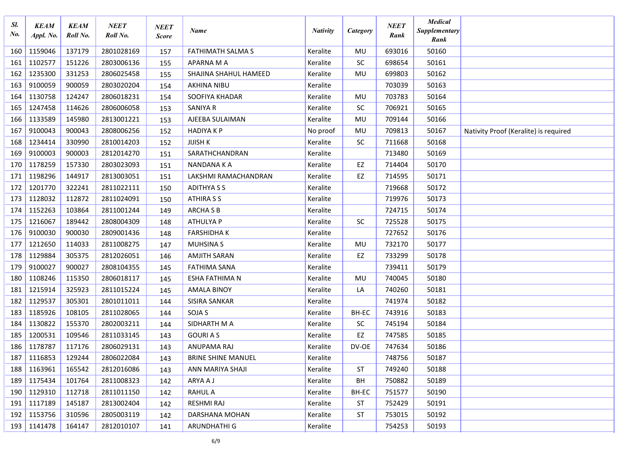| Sl.<br>No. | <b>KEAM</b><br>Appl. No. | <b>KEAM</b><br>Roll No. | NEET<br>Roll No. | <b>NEET</b><br><b>Score</b> | Name                      | <b>Nativity</b> | Category  | <b>NEET</b><br>Rank | <b>Medical</b><br><b>Supplementary</b><br>Rank |                                       |
|------------|--------------------------|-------------------------|------------------|-----------------------------|---------------------------|-----------------|-----------|---------------------|------------------------------------------------|---------------------------------------|
| 160        | 1159046                  | 137179                  | 2801028169       | 157                         | FATHIMATH SALMA S         | Keralite        | MU        | 693016              | 50160                                          |                                       |
| 161        | 1102577                  | 151226                  | 2803006136       | 155                         | APARNA M A                | Keralite        | <b>SC</b> | 698654              | 50161                                          |                                       |
| 162        | 1235300                  | 331253                  | 2806025458       | 155                         | SHAJINA SHAHUL HAMEED     | Keralite        | MU        | 699803              | 50162                                          |                                       |
| 163        | 9100059                  | 900059                  | 2803020204       | 154                         | <b>AKHINA NIBU</b>        | Keralite        |           | 703039              | 50163                                          |                                       |
| 164        | 1130758                  | 124247                  | 2806018231       | 154                         | SOOFIYA KHADAR            | Keralite        | MU        | 703783              | 50164                                          |                                       |
| 165        | 1247458                  | 114626                  | 2806006058       | 153                         | <b>SANIYA R</b>           | Keralite        | <b>SC</b> | 706921              | 50165                                          |                                       |
| 166        | 1133589                  | 145980                  | 2813001221       | 153                         | AJEEBA SULAIMAN           | Keralite        | MU        | 709144              | 50166                                          |                                       |
| 167        | 9100043                  | 900043                  | 2808006256       | 152                         | <b>HADIYAKP</b>           | No proof        | MU        | 709813              | 50167                                          | Nativity Proof (Keralite) is required |
| 168        | 1234414                  | 330990                  | 2810014203       | 152                         | <b>JIJISH K</b>           | Keralite        | <b>SC</b> | 711668              | 50168                                          |                                       |
| 169        | 9100003                  | 900003                  | 2812014270       | 151                         | SARATHCHANDRAN            | Keralite        |           | 713480              | 50169                                          |                                       |
| 170        | 1178259                  | 157330                  | 2803023093       | 151                         | NANDANA K A               | Keralite        | EZ        | 714404              | 50170                                          |                                       |
| 171        | 1198296                  | 144917                  | 2813003051       | 151                         | LAKSHMI RAMACHANDRAN      | Keralite        | EZ        | 714595              | 50171                                          |                                       |
| 172        | 1201770                  | 322241                  | 2811022111       | 150                         | <b>ADITHYA S S</b>        | Keralite        |           | 719668              | 50172                                          |                                       |
| 173        | 1128032                  | 112872                  | 2811024091       | 150                         | <b>ATHIRA S S</b>         | Keralite        |           | 719976              | 50173                                          |                                       |
| 174        | 1152263                  | 103864                  | 2811001244       | 149                         | <b>ARCHA S B</b>          | Keralite        |           | 724715              | 50174                                          |                                       |
| 175        | 1216067                  | 189442                  | 2808004309       | 148                         | ATHULYA P                 | Keralite        | <b>SC</b> | 725528              | 50175                                          |                                       |
| 176        | 9100030                  | 900030                  | 2809001436       | 148                         | <b>FARSHIDHAK</b>         | Keralite        |           | 727652              | 50176                                          |                                       |
| 177        | 1212650                  | 114033                  | 2811008275       | 147                         | <b>MUHSINAS</b>           | Keralite        | MU        | 732170              | 50177                                          |                                       |
| 178        | 1129884                  | 305375                  | 2812026051       | 146                         | <b>AMJITH SARAN</b>       | Keralite        | EZ        | 733299              | 50178                                          |                                       |
| 179        | 9100027                  | 900027                  | 2808104355       | 145                         | <b>FATHIMA SANA</b>       | Keralite        |           | 739411              | 50179                                          |                                       |
| 180        | 1108246                  | 115350                  | 2806018117       | 145                         | ESHA FATHIMA N            | Keralite        | MU        | 740045              | 50180                                          |                                       |
| 181        | 1215914                  | 325923                  | 2811015224       | 145                         | <b>AMALA BINOY</b>        | Keralite        | LA        | 740260              | 50181                                          |                                       |
| 182        | 1129537                  | 305301                  | 2801011011       | 144                         | SISIRA SANKAR             | Keralite        |           | 741974              | 50182                                          |                                       |
| 183        | 1185926                  | 108105                  | 2811028065       | 144                         | SOJA <sub>S</sub>         | Keralite        | BH-EC     | 743916              | 50183                                          |                                       |
| 184        | 1130822                  | 155370                  | 2802003211       | 144                         | SIDHARTH M A              | Keralite        | SC        | 745194              | 50184                                          |                                       |
| 185        | 1200531                  | 109546                  | 2811033145       | 143                         | <b>GOURIAS</b>            | Keralite        | EZ        | 747585              | 50185                                          |                                       |
| 186        | 1178787                  | 117176                  | 2806029131       | 143                         | ANUPAMA RAJ               | Keralite        | DV-OE     | 747634              | 50186                                          |                                       |
| 187        | 1116853                  | 129244                  | 2806022084       | 143                         | <b>BRINE SHINE MANUEL</b> | Keralite        |           | 748756              | 50187                                          |                                       |
| 188        | 1163961                  | 165542                  | 2812016086       | 143                         | ANN MARIYA SHAJI          | Keralite        | <b>ST</b> | 749240              | 50188                                          |                                       |
| 189        | 1175434                  | 101764                  | 2811008323       | 142                         | ARYA A J                  | Keralite        | BH        | 750882              | 50189                                          |                                       |
| 190        | 1129310                  | 112718                  | 2811011150       | 142                         | <b>RAHUL A</b>            | Keralite        | BH-EC     | 751577              | 50190                                          |                                       |
| 191        | 1117189                  | 145187                  | 2813002404       | 142                         | RESHMI RAJ                | Keralite        | <b>ST</b> | 752429              | 50191                                          |                                       |
| 192        | 1153756                  | 310596                  | 2805003119       | 142                         | DARSHANA MOHAN            | Keralite        | <b>ST</b> | 753015              | 50192                                          |                                       |
|            | 193 1141478              | 164147                  | 2812010107       | 141                         | ARUNDHATHI G              | Keralite        |           | 754253              | 50193                                          |                                       |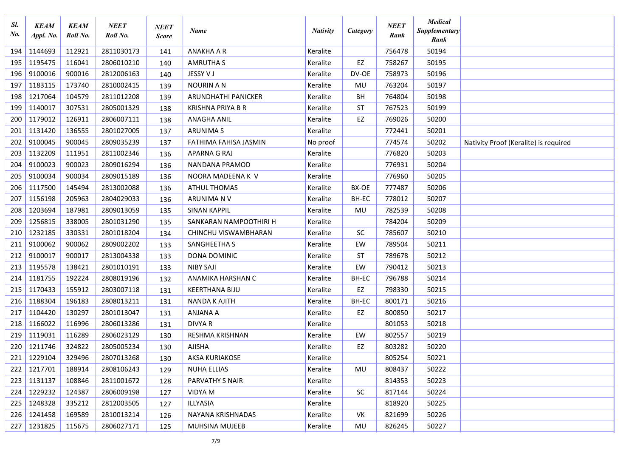| Sl.<br>No. | <b>KEAM</b><br>Appl. No. | <b>KEAM</b><br>Roll No. | NEET<br>Roll No. | <b>NEET</b><br><b>Score</b> | Name                     | <b>Nativity</b> | Category  | <b>NEET</b><br>Rank | <b>Medical</b><br>Supplementary<br>Rank |                                       |
|------------|--------------------------|-------------------------|------------------|-----------------------------|--------------------------|-----------------|-----------|---------------------|-----------------------------------------|---------------------------------------|
| 194        | 1144693                  | 112921                  | 2811030173       | 141                         | <b>ANAKHA A R</b>        | Keralite        |           | 756478              | 50194                                   |                                       |
| 195        | 1195475                  | 116041                  | 2806010210       | 140                         | <b>AMRUTHA S</b>         | Keralite        | EZ        | 758267              | 50195                                   |                                       |
| 196        | 9100016                  | 900016                  | 2812006163       | 140                         | JESSY V J                | Keralite        | DV-OE     | 758973              | 50196                                   |                                       |
| 197        | 1183115                  | 173740                  | 2810002415       | 139                         | <b>NOURIN A N</b>        | Keralite        | MU        | 763204              | 50197                                   |                                       |
| 198        | 1217064                  | 104579                  | 2811012208       | 139                         | ARUNDHATHI PANICKER      | Keralite        | BH        | 764804              | 50198                                   |                                       |
| 199        | 1140017                  | 307531                  | 2805001329       | 138                         | <b>KRISHNA PRIYA B R</b> | Keralite        | <b>ST</b> | 767523              | 50199                                   |                                       |
| 200        | 1179012                  | 126911                  | 2806007111       | 138                         | <b>ANAGHA ANIL</b>       | Keralite        | EZ        | 769026              | 50200                                   |                                       |
| 201        | 1131420                  | 136555                  | 2801027005       | 137                         | <b>ARUNIMAS</b>          | Keralite        |           | 772441              | 50201                                   |                                       |
| 202        | 9100045                  | 900045                  | 2809035239       | 137                         | FATHIMA FAHISA JASMIN    | No proof        |           | 774574              | 50202                                   | Nativity Proof (Keralite) is required |
| 203        | 1132209                  | 111951                  | 2811002346       | 136                         | APARNA G RAJ             | Keralite        |           | 776820              | 50203                                   |                                       |
| 204        | 9100023                  | 900023                  | 2809016294       | 136                         | NANDANA PRAMOD           | Keralite        |           | 776931              | 50204                                   |                                       |
| 205        | 9100034                  | 900034                  | 2809015189       | 136                         | NOORA MADEENA K V        | Keralite        |           | 776960              | 50205                                   |                                       |
| 206        | 1117500                  | 145494                  | 2813002088       | 136                         | <b>ATHUL THOMAS</b>      | Keralite        | BX-OE     | 777487              | 50206                                   |                                       |
| 207        | 1156198                  | 205963                  | 2804029033       | 136                         | ARUNIMA N V              | Keralite        | BH-EC     | 778012              | 50207                                   |                                       |
| 208        | 1203694                  | 187981                  | 2809013059       | 135                         | <b>SINAN KAPPIL</b>      | Keralite        | MU        | 782539              | 50208                                   |                                       |
| 209        | 1256815                  | 338005                  | 2801031290       | 135                         | SANKARAN NAMPOOTHIRI H   | Keralite        |           | 784204              | 50209                                   |                                       |
| 210        | 1232185                  | 330331                  | 2801018204       | 134                         | CHINCHU VISWAMBHARAN     | Keralite        | SC        | 785607              | 50210                                   |                                       |
| 211        | 9100062                  | 900062                  | 2809002202       | 133                         | SANGHEETHA S             | Keralite        | EW        | 789504              | 50211                                   |                                       |
| 212        | 9100017                  | 900017                  | 2813004338       | 133                         | DONA DOMINIC             | Keralite        | <b>ST</b> | 789678              | 50212                                   |                                       |
| 213        | 1195578                  | 138421                  | 2801010191       | 133                         | <b>NIBY SAJI</b>         | Keralite        | EW        | 790412              | 50213                                   |                                       |
| 214        | 1181755                  | 192224                  | 2808019196       | 132                         | ANAMIKA HARSHAN C        | Keralite        | BH-EC     | 796788              | 50214                                   |                                       |
| 215        | 1170433                  | 155912                  | 2803007118       | 131                         | <b>KEERTHANA BIJU</b>    | Keralite        | EZ        | 798330              | 50215                                   |                                       |
| 216        | 1188304                  | 196183                  | 2808013211       | 131                         | <b>NANDA K AJITH</b>     | Keralite        | BH-EC     | 800171              | 50216                                   |                                       |
| 217        | 1104420                  | 130297                  | 2801013047       | 131                         | ANJANA A                 | Keralite        | EZ        | 800850              | 50217                                   |                                       |
| 218        | 1166022                  | 116996                  | 2806013286       | 131                         | <b>DIVYA R</b>           | Keralite        |           | 801053              | 50218                                   |                                       |
| 219        | 1119031                  | 116289                  | 2806023129       | 130                         | <b>RESHMA KRISHNAN</b>   | Keralite        | EW        | 802557              | 50219                                   |                                       |
| 220        | 1211746                  | 324822                  | 2805005234       | 130                         | AJISHA                   | Keralite        | EZ        | 803282              | 50220                                   |                                       |
| 221        | 1229104                  | 329496                  | 2807013268       | 130                         | AKSA KURIAKOSE           | Keralite        |           | 805254              | 50221                                   |                                       |
| 222        | 1217701                  | 188914                  | 2808106243       | 129                         | <b>NUHA ELLIAS</b>       | Keralite        | MU        | 808437              | 50222                                   |                                       |
| 223        | 1131137                  | 108846                  | 2811001672       | 128                         | PARVATHY S NAIR          | Keralite        |           | 814353              | 50223                                   |                                       |
| 224        | 1229232                  | 124387                  | 2806009198       | 127                         | VIDYA M                  | Keralite        | <b>SC</b> | 817144              | 50224                                   |                                       |
| 225        | 1248328                  | 335212                  | 2812003505       | 127                         | ILLYASIA                 | Keralite        |           | 818920              | 50225                                   |                                       |
| 226        | 1241458                  | 169589                  | 2810013214       | 126                         | NAYANA KRISHNADAS        | Keralite        | VK        | 821699              | 50226                                   |                                       |
| 227        | 1231825                  | 115675                  | 2806027171       | 125                         | MUHSINA MUJEEB           | Keralite        | MU        | 826245              | 50227                                   |                                       |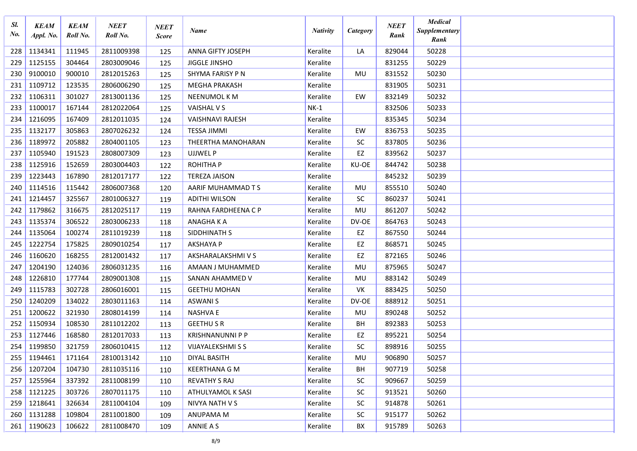| Sl.<br>No. | <b>KEAM</b><br>Appl. No. | <b>KEAM</b><br>Roll No. | NEET<br>Roll No. | <b>NEET</b><br><b>Score</b> | Name                     | <b>Nativity</b> | <b>Category</b> | <b>NEET</b><br>Rank | <b>Medical</b><br>Supplementary<br>Rank |  |
|------------|--------------------------|-------------------------|------------------|-----------------------------|--------------------------|-----------------|-----------------|---------------------|-----------------------------------------|--|
| 228        | 1134341                  | 111945                  | 2811009398       | 125                         | ANNA GIFTY JOSEPH        | Keralite        | LA              | 829044              | 50228                                   |  |
| 229        | 1125155                  | 304464                  | 2803009046       | 125                         | <b>JIGGLE JINSHO</b>     | Keralite        |                 | 831255              | 50229                                   |  |
| 230        | 9100010                  | 900010                  | 2812015263       | 125                         | SHYMA FARISY P N         | Keralite        | MU              | 831552              | 50230                                   |  |
| 231        | 1109712                  | 123535                  | 2806006290       | 125                         | <b>MEGHA PRAKASH</b>     | Keralite        |                 | 831905              | 50231                                   |  |
| 232        | 1106311                  | 301027                  | 2813001136       | 125                         | <b>NEENUMOL K M</b>      | Keralite        | EW              | 832149              | 50232                                   |  |
| 233        | 1100017                  | 167144                  | 2812022064       | 125                         | VAISHAL V S              | $NK-1$          |                 | 832506              | 50233                                   |  |
| 234        | 1216095                  | 167409                  | 2812011035       | 124                         | <b>VAISHNAVI RAJESH</b>  | Keralite        |                 | 835345              | 50234                                   |  |
| 235        | 1132177                  | 305863                  | 2807026232       | 124                         | <b>TESSA JIMMI</b>       | Keralite        | EW              | 836753              | 50235                                   |  |
| 236        | 1189972                  | 205882                  | 2804001105       | 123                         | THEERTHA MANOHARAN       | Keralite        | <b>SC</b>       | 837805              | 50236                                   |  |
| 237        | 1105940                  | 191523                  | 2808007309       | 123                         | <b>UJJWEL P</b>          | Keralite        | EZ              | 839562              | 50237                                   |  |
| 238        | 1125916                  | 152659                  | 2803004403       | 122                         | <b>ROHITHAP</b>          | Keralite        | KU-OE           | 844742              | 50238                                   |  |
| 239        | 1223443                  | 167890                  | 2812017177       | 122                         | <b>TEREZA JAISON</b>     | Keralite        |                 | 845232              | 50239                                   |  |
| 240        | 1114516                  | 115442                  | 2806007368       | 120                         | AARIF MUHAMMAD T S       | Keralite        | MU              | 855510              | 50240                                   |  |
| 241        | 1214457                  | 325567                  | 2801006327       | 119                         | <b>ADITHI WILSON</b>     | Keralite        | <b>SC</b>       | 860237              | 50241                                   |  |
| 242        | 1179862                  | 316675                  | 2812025117       | 119                         | RAHNA FARDHEENA C P      | Keralite        | MU              | 861207              | 50242                                   |  |
| 243        | 1135374                  | 306522                  | 2803006233       | 118                         | ANAGHAKA                 | Keralite        | DV-OE           | 864763              | 50243                                   |  |
| 244        | 1135064                  | 100274                  | 2811019239       | 118                         | SIDDHINATH S             | Keralite        | EZ              | 867550              | 50244                                   |  |
| 245        | 1222754                  | 175825                  | 2809010254       | 117                         | <b>AKSHAYA P</b>         | Keralite        | EZ              | 868571              | 50245                                   |  |
| 246        | 1160620                  | 168255                  | 2812001432       | 117                         | AKSHARALAKSHMI V S       | Keralite        | EZ              | 872165              | 50246                                   |  |
| 247        | 1204190                  | 124036                  | 2806031235       | 116                         | AMAAN J MUHAMMED         | Keralite        | MU              | 875965              | 50247                                   |  |
| 248        | 1226810                  | 177744                  | 2809001308       | 115                         | SANAN AHAMMED V          | Keralite        | MU              | 883142              | 50249                                   |  |
| 249        | 1115783                  | 302728                  | 2806016001       | 115                         | <b>GEETHU MOHAN</b>      | Keralite        | VK              | 883425              | 50250                                   |  |
| 250        | 1240209                  | 134022                  | 2803011163       | 114                         | <b>ASWANIS</b>           | Keralite        | DV-OE           | 888912              | 50251                                   |  |
| 251        | 1200622                  | 321930                  | 2808014199       | 114                         | <b>NASHVA E</b>          | Keralite        | MU              | 890248              | 50252                                   |  |
| 252        | 1150934                  | 108530                  | 2811012202       | 113                         | <b>GEETHU S R</b>        | Keralite        | BH              | 892383              | 50253                                   |  |
| 253        | 1127446                  | 168580                  | 2812017033       | 113                         | <b>KRISHNANUNNI P P</b>  | Keralite        | EZ              | 895221              | 50254                                   |  |
| 254        | 1199850                  | 321759                  | 2806010415       | 112                         | <b>VIJAYALEKSHMI S S</b> | Keralite        | SC              | 898916              | 50255                                   |  |
| $255$      | 1194461                  | 171164                  | 2810013142       | 110                         | DIYAL BASITH             | Keralite        | MU              | 906890              | 50257                                   |  |
| 256        | 1207204                  | 104730                  | 2811035116       | 110                         | <b>KEERTHANA G M</b>     | Keralite        | BH              | 907719              | 50258                                   |  |
| 257        | 1255964                  | 337392                  | 2811008199       | 110                         | <b>REVATHY S RAJ</b>     | Keralite        | SC.             | 909667              | 50259                                   |  |
| 258        | 1121225                  | 303726                  | 2807011175       | 110                         | ATHULYAMOL K SASI        | Keralite        | SC.             | 913521              | 50260                                   |  |
| 259        | 1218641                  | 326634                  | 2811004104       | 109                         | NIVYA NATH V S           | Keralite        | SC.             | 914878              | 50261                                   |  |
| 260        | 1131288                  | 109804                  | 2811001800       | 109                         | ANUPAMA M                | Keralite        | SC.             | 915177              | 50262                                   |  |
| 261        | 1190623                  | 106622                  | 2811008470       | 109                         | ANNIE A S                | Keralite        | BX              | 915789              | 50263                                   |  |